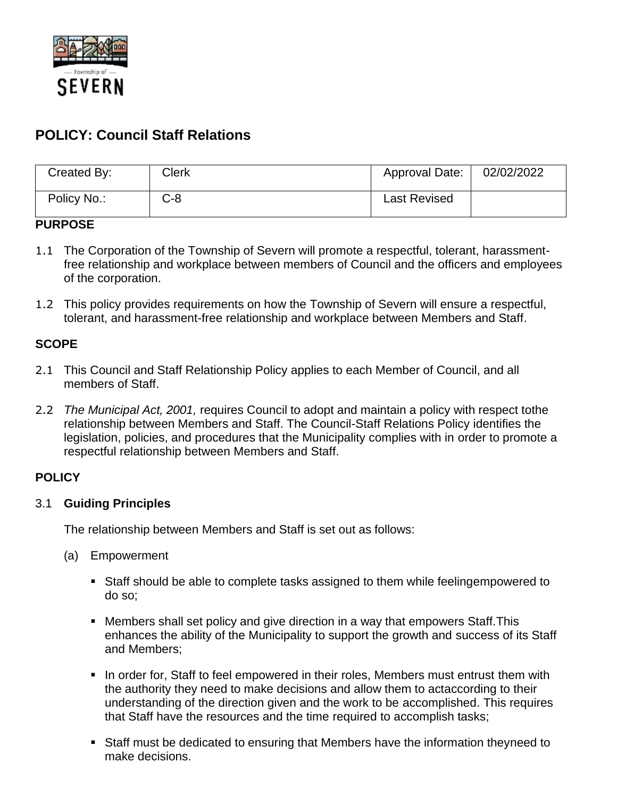

# **POLICY: Council Staff Relations**

| Created By: | Clerk | Approval Date:      | 02/02/2022 |
|-------------|-------|---------------------|------------|
| Policy No.: | C-8   | <b>Last Revised</b> |            |

#### **PURPOSE**

- 1.1 The Corporation of the Township of Severn will promote a respectful, tolerant, harassmentfree relationship and workplace between members of Council and the officers and employees of the corporation.
- 1.2 This policy provides requirements on how the Township of Severn will ensure a respectful, tolerant, and harassment-free relationship and workplace between Members and Staff.

# **SCOPE**

- 2.1 This Council and Staff Relationship Policy applies to each Member of Council, and all members of Staff.
- 2.2 *The Municipal Act, 2001,* requires Council to adopt and maintain a policy with respect tothe relationship between Members and Staff. The Council-Staff Relations Policy identifies the legislation, policies, and procedures that the Municipality complies with in order to promote a respectful relationship between Members and Staff.

# **POLICY**

# 3.1 **Guiding Principles**

The relationship between Members and Staff is set out as follows:

- (a) Empowerment
	- Staff should be able to complete tasks assigned to them while feelingempowered to do so;
	- Members shall set policy and give direction in a way that empowers Staff. This enhances the ability of the Municipality to support the growth and success of its Staff and Members;
	- **.** In order for, Staff to feel empowered in their roles, Members must entrust them with the authority they need to make decisions and allow them to actaccording to their understanding of the direction given and the work to be accomplished. This requires that Staff have the resources and the time required to accomplish tasks;
	- Staff must be dedicated to ensuring that Members have the information theyneed to make decisions.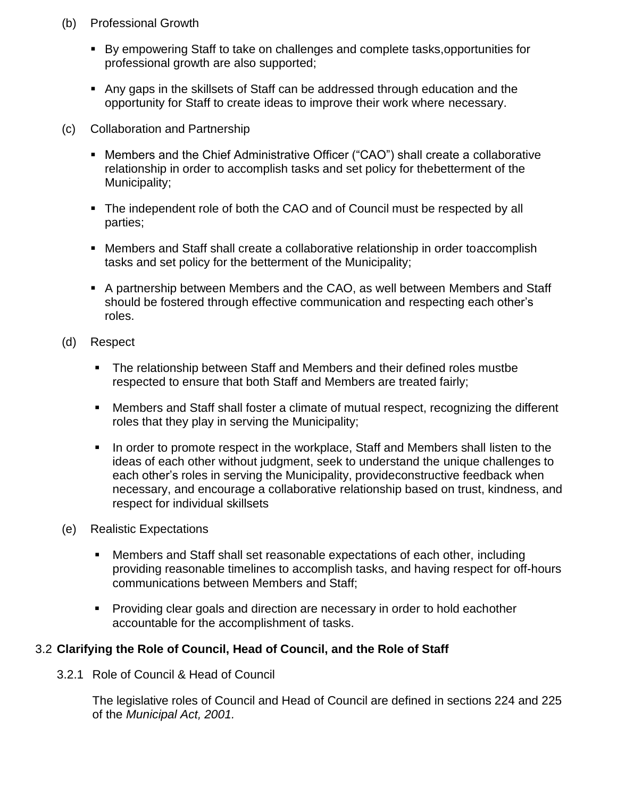- (b) Professional Growth
	- By empowering Staff to take on challenges and complete tasks, opportunities for professional growth are also supported;
	- Any gaps in the skillsets of Staff can be addressed through education and the opportunity for Staff to create ideas to improve their work where necessary.
- (c) Collaboration and Partnership
	- Members and the Chief Administrative Officer ("CAO") shall create a collaborative relationship in order to accomplish tasks and set policy for thebetterment of the Municipality;
	- The independent role of both the CAO and of Council must be respected by all parties;
	- Members and Staff shall create a collaborative relationship in order toaccomplish tasks and set policy for the betterment of the Municipality;
	- A partnership between Members and the CAO, as well between Members and Staff should be fostered through effective communication and respecting each other's roles.
- (d) Respect
	- The relationship between Staff and Members and their defined roles mustbe respected to ensure that both Staff and Members are treated fairly;
	- Members and Staff shall foster a climate of mutual respect, recognizing the different roles that they play in serving the Municipality;
	- In order to promote respect in the workplace, Staff and Members shall listen to the ideas of each other without judgment, seek to understand the unique challenges to each other's roles in serving the Municipality, provideconstructive feedback when necessary, and encourage a collaborative relationship based on trust, kindness, and respect for individual skillsets
- (e) Realistic Expectations
	- Members and Staff shall set reasonable expectations of each other, including providing reasonable timelines to accomplish tasks, and having respect for off-hours communications between Members and Staff;
	- Providing clear goals and direction are necessary in order to hold eachother accountable for the accomplishment of tasks.

# 3.2 **Clarifying the Role of Council, Head of Council, and the Role of Staff**

3.2.1 Role of Council & Head of Council

The legislative roles of Council and Head of Council are defined in sections 224 and 225 of the *Municipal Act, 2001.*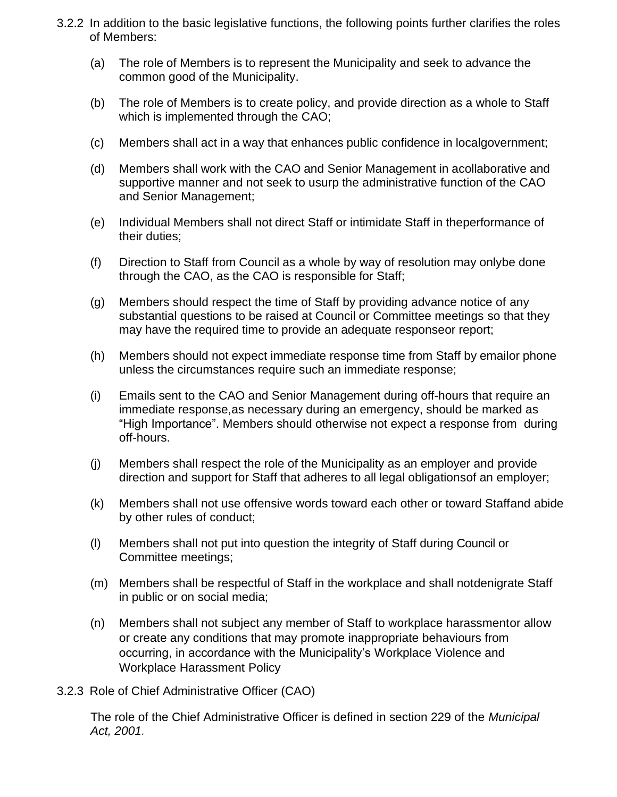- 3.2.2 In addition to the basic legislative functions, the following points further clarifies the roles of Members:
	- (a) The role of Members is to represent the Municipality and seek to advance the common good of the Municipality.
	- (b) The role of Members is to create policy, and provide direction as a whole to Staff which is implemented through the CAO;
	- (c) Members shall act in a way that enhances public confidence in localgovernment;
	- (d) Members shall work with the CAO and Senior Management in acollaborative and supportive manner and not seek to usurp the administrative function of the CAO and Senior Management;
	- (e) Individual Members shall not direct Staff or intimidate Staff in theperformance of their duties;
	- (f) Direction to Staff from Council as a whole by way of resolution may onlybe done through the CAO, as the CAO is responsible for Staff;
	- (g) Members should respect the time of Staff by providing advance notice of any substantial questions to be raised at Council or Committee meetings so that they may have the required time to provide an adequate responseor report;
	- (h) Members should not expect immediate response time from Staff by emailor phone unless the circumstances require such an immediate response;
	- (i) Emails sent to the CAO and Senior Management during off-hours that require an immediate response,as necessary during an emergency, should be marked as "High Importance". Members should otherwise not expect a response from during off-hours.
	- (j) Members shall respect the role of the Municipality as an employer and provide direction and support for Staff that adheres to all legal obligationsof an employer;
	- (k) Members shall not use offensive words toward each other or toward Staffand abide by other rules of conduct;
	- (l) Members shall not put into question the integrity of Staff during Council or Committee meetings;
	- (m) Members shall be respectful of Staff in the workplace and shall notdenigrate Staff in public or on social media;
	- (n) Members shall not subject any member of Staff to workplace harassmentor allow or create any conditions that may promote inappropriate behaviours from occurring, in accordance with the Municipality's Workplace Violence and Workplace Harassment Policy
- 3.2.3 Role of Chief Administrative Officer (CAO)

The role of the Chief Administrative Officer is defined in section 229 of the *Municipal Act, 2001.*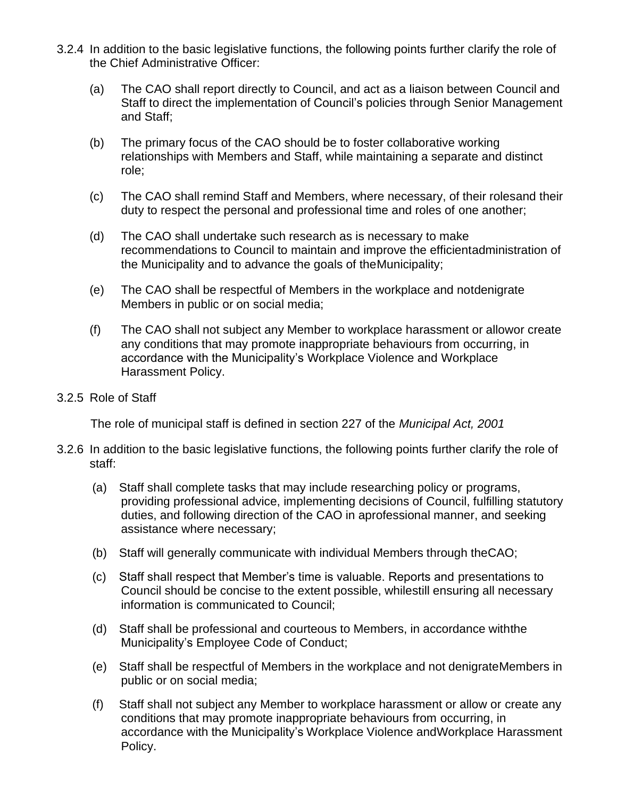- 3.2.4 In addition to the basic legislative functions, the following points further clarify the role of the Chief Administrative Officer:
	- (a) The CAO shall report directly to Council, and act as a liaison between Council and Staff to direct the implementation of Council's policies through Senior Management and Staff;
	- (b) The primary focus of the CAO should be to foster collaborative working relationships with Members and Staff, while maintaining a separate and distinct role;
	- (c) The CAO shall remind Staff and Members, where necessary, of their rolesand their duty to respect the personal and professional time and roles of one another;
	- (d) The CAO shall undertake such research as is necessary to make recommendations to Council to maintain and improve the efficientadministration of the Municipality and to advance the goals of theMunicipality;
	- (e) The CAO shall be respectful of Members in the workplace and notdenigrate Members in public or on social media;
	- (f) The CAO shall not subject any Member to workplace harassment or allowor create any conditions that may promote inappropriate behaviours from occurring, in accordance with the Municipality's Workplace Violence and Workplace Harassment Policy.
- 3.2.5 Role of Staff

The role of municipal staff is defined in section 227 of the *Municipal Act, 2001*

- 3.2.6 In addition to the basic legislative functions, the following points further clarify the role of staff:
	- (a) Staff shall complete tasks that may include researching policy or programs, providing professional advice, implementing decisions of Council, fulfilling statutory duties, and following direction of the CAO in aprofessional manner, and seeking assistance where necessary;
	- (b) Staff will generally communicate with individual Members through theCAO;
	- (c) Staff shall respect that Member's time is valuable. Reports and presentations to Council should be concise to the extent possible, whilestill ensuring all necessary information is communicated to Council;
	- (d) Staff shall be professional and courteous to Members, in accordance withthe Municipality's Employee Code of Conduct;
	- (e) Staff shall be respectful of Members in the workplace and not denigrateMembers in public or on social media;
	- (f) Staff shall not subject any Member to workplace harassment or allow or create any conditions that may promote inappropriate behaviours from occurring, in accordance with the Municipality's Workplace Violence andWorkplace Harassment Policy.